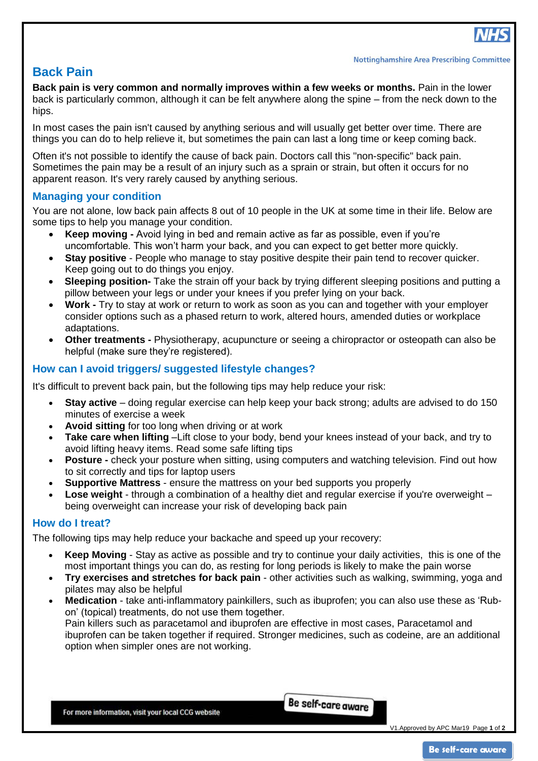

# **Back Pain**

**Back pain is very common and normally improves within a few weeks or months.** Pain in the lower back is particularly common, although it can be felt anywhere along the spine – from the neck down to the hips.

In most cases the pain isn't caused by anything serious and will usually get better over time. There are things you can do to help relieve it, but sometimes the pain can last a long time or keep coming back.

Often it's not possible to identify the cause of back pain. Doctors call this "non-specific" back pain. Sometimes the pain may be a result of an injury such as a [sprain or strain,](https://www.nhs.uk/Conditions/Sprains/Pages/Introduction.aspx) but often it occurs for no apparent reason. It's very rarely caused by anything serious.

### **Managing your condition**

You are not alone, low back pain affects 8 out of 10 people in the UK at some time in their life. Below are some tips to help you manage your condition.

- **Keep moving -** Avoid lying in bed and remain active as far as possible, even if you're uncomfortable. This won't harm your back, and you can expect to get better more quickly.
- **Stay positive** People who manage to stay positive despite their pain tend to recover quicker. Keep going out to do things you enjoy.
- **Sleeping position-** Take the strain off your back by trying different sleeping positions and putting a pillow between your legs or under your knees if you prefer lying on your back.
- **Work -** Try to stay at work or return to work as soon as you can and together with your employer consider options such as a phased return to work, altered hours, amended duties or workplace adaptations.
- **Other treatments -** Physiotherapy, acupuncture or seeing a chiropractor or osteopath can also be helpful (make sure they're registered).

### **How can I avoid triggers/ suggested lifestyle changes?**

It's difficult to prevent back pain, but the following tips may help reduce your risk:

- **Stay active** doing regular [exercise](https://www.nhs.uk/LiveWell/Fitness/Pages/Fitnesshome.aspx) can help keep your back strong; adults are advised to do [150](https://www.nhs.uk/Livewell/fitness/Pages/physical-activity-guidelines-for-adults.aspx)  [minutes of exercise a week](https://www.nhs.uk/Livewell/fitness/Pages/physical-activity-guidelines-for-adults.aspx)
- **Avoid sitting** for too long when driving or at work
- **Take care when lifting** –Lift close to your body, bend your knees instead of your back, and try to avoid lifting heavy items. Read some [safe lifting tips](https://www.nhs.uk/livewell/workplacehealth/pages/safe-lifting-tips.aspx)
- **Posture -** check your posture when sitting, using computers and watching television. Find out [how](https://www.nhs.uk/Livewell/workplacehealth/Pages/Howtositcorrectly.aspx)  [to sit correctly](https://www.nhs.uk/Livewell/workplacehealth/Pages/Howtositcorrectly.aspx) and [tips for laptop users](https://www.nhs.uk/Livewell/workplacehealth/Pages/laptophealth.aspx)
- **Supportive Mattress** ensure the mattress on your bed supports you properly
- **Lose [weight](https://www.nhs.uk/livewell/loseweight/Pages/Loseweighthome.aspx)** through a combination of a [healthy diet](https://www.nhs.uk/Livewell/Goodfood/Pages/Goodfoodhome.aspx) and regular exercise if you're overweight being overweight can increase your risk of developing back pain

#### **How do I treat?**

The following tips may help reduce your backache and speed up your recovery:

- **Keep Moving** Stay as active as possible and try to continue your daily activities, this is one of the most important things you can do, as resting for long periods is likely to make the pain worse
- **Try [exercises and stretches for back pain](https://www.nhs.uk/Livewell/Backpain/Pages/low-back-pain-exercises.aspx)** other activities such as [walking,](https://www.nhs.uk/Livewell/getting-started-guides/Pages/getting-started-walking.aspx) [swimming,](https://www.nhs.uk/Livewell/getting-started-guides/Pages/getting-started-swimming.aspx) [yoga](https://www.nhs.uk/Livewell/fitness/Pages/yoga.aspx) and [pilates](https://www.nhs.uk/Livewell/fitness/Pages/pilates.aspx) may also be helpful
- **Medication** take [anti-inflammatory painkillers,](https://www.nhs.uk/conditions/anti-inflammatories-non-steroidal/Pages/Introduction.aspx) such as [ibuprofen;](https://www.nhs.uk/conditions/Painkillers-ibuprofen/Pages/Introduction.aspx) you can also use these as 'Rubon' (topical) treatments, do not use them together. Pain killers such as paracetamol and ibuprofen are effective in most cases, Paracetamol and ibuprofen can be taken together if required. Stronger medicines, such as codeine, are an additional option when simpler ones are not working.

For more information, visit your local CCG website

Be self-care aware

V1.Approved by APC Mar19 Page **1** of **2**